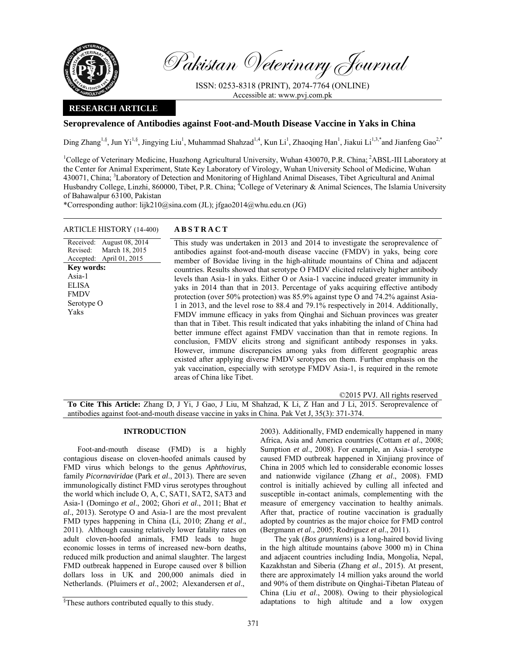

Revised:

**Key words:**  Asia-1 **ELISA** FMDV Serotype O Yaks

Accepted: April 01, 2015

Pakistan Veterinary Journal

ISSN: 0253-8318 (PRINT), 2074-7764 (ONLINE) Accessible at: www.pvj.com.pk

## **RESEARCH ARTICLE**

# **Seroprevalence of Antibodies against Foot-and-Mouth Disease Vaccine in Yaks in China**

Ding Zhang<sup>1,§</sup>, Jun Yi<sup>1,§</sup>, Jingying Liu<sup>1</sup>, Muhammad Shahzad<sup>1,4</sup>, Kun Li<sup>1</sup>, Zhaoqing Han<sup>1</sup>, Jiakui Li<sup>1,3,\*</sup>and Jianfeng Gao<sup>2,\*</sup>

<sup>1</sup>College of Veterinary Medicine, Huazhong Agricultural University, Wuhan 430070, P.R. China; <sup>2</sup>ABSL-III Laboratory at the Center for Animal Experiment, State Key Laboratory of Virology, Wuhan University School of Medicine, Wuhan 430071, China; <sup>3</sup>Laboratory of Detection and Monitoring of Highland Animal Diseases, Tibet Agricultural and Animal Husbandry College, Linzhi, 860000, Tibet, P.R. China; <sup>4</sup>College of Veterinary & Animal Sciences, The Islamia University of Bahawalpur 63100, Pakistan

\*Corresponding author: lijk210@sina.com (JL); jfgao2014@whu.edu.cn (JG)

### ARTICLE HISTORY (14-400) **ABSTRACT**

March 18, 2015

Received: August 08, 2014 This study was undertaken in 2013 and 2014 to investigate the seroprevalence of antibodies against foot-and-mouth disease vaccine (FMDV) in yaks, being core member of Bovidae living in the high-altitude mountains of China and adjacent countries. Results showed that serotype O FMDV elicited relatively higher antibody levels than Asia-1 in yaks. Either O or Asia-1 vaccine induced greater immunity in yaks in 2014 than that in 2013. Percentage of yaks acquiring effective antibody protection (over 50% protection) was 85.9% against type O and 74.2% against Asia-1 in 2013, and the level rose to 88.4 and 79.1% respectively in 2014. Additionally, FMDV immune efficacy in yaks from Qinghai and Sichuan provinces was greater than that in Tibet. This result indicated that yaks inhabiting the inland of China had

better immune effect against FMDV vaccination than that in remote regions. In conclusion, FMDV elicits strong and significant antibody responses in yaks. However, immune discrepancies among yaks from different geographic areas existed after applying diverse FMDV serotypes on them. Further emphasis on the yak vaccination, especially with serotype FMDV Asia-1, is required in the remote areas of China like Tibet.

©2015 PVJ. All rights reserved

**To Cite This Article:** Zhang D, J Yi, J Gao, J Liu, M Shahzad, K Li, Z Han and J Li, 2015. Seroprevalence of antibodies against foot-and-mouth disease vaccine in yaks in China. Pak Vet J, 35(3): 371-374.

### **INTRODUCTION**

Foot-and-mouth disease (FMD) is a highly contagious disease on cloven-hoofed animals caused by FMD virus which belongs to the genus *Aphthovirus*, family *Picornaviridae* (Park *et al*., 2013). There are seven immunologically distinct FMD virus serotypes throughout the world which include O, A, C, SAT1, SAT2, SAT3 and Asia-1 (Domingo *et al*., 2002; Ghori *et al*., 2011; Bhat *et al*., 2013). Serotype O and Asia-1 are the most prevalent FMD types happening in China (Li, 2010; Zhang *et al*., 2011). Although causing relatively lower fatality rates on adult cloven-hoofed animals, FMD leads to huge economic losses in terms of increased new-born deaths, reduced milk production and animal slaughter. The largest FMD outbreak happened in Europe caused over 8 billion dollars loss in UK and 200,000 animals died in Netherlands. (Pluimers *et al*., 2002; Alexandersen *et al*.,

2003). Additionally, FMD endemically happened in many Africa, Asia and America countries (Cottam *et al*., 2008; Sumption *et al*., 2008). For example, an Asia-1 serotype caused FMD outbreak happened in Xinjiang province of China in 2005 which led to considerable economic losses and nationwide vigilance (Zhang *et al*., 2008). FMD control is initially achieved by culling all infected and susceptible in-contact animals, complementing with the measure of emergency vaccination to healthy animals. After that, practice of routine vaccination is gradually adopted by countries as the major choice for FMD control (Bergmann *et al*., 2005; Rodriguez *et al*., 2011).

The yak (*Bos grunniens*) is a long-haired bovid living in the high altitude mountains (above 3000 m) in China and adjacent countries including India, Mongolia, Nepal, Kazakhstan and Siberia (Zhang *et al*., 2015). At present, there are approximately 14 million yaks around the world and 90% of them distribute on Qinghai-Tibetan Plateau of China (Liu *et al*., 2008). Owing to their physiological adaptations to high altitude and a low oxygen

<sup>§</sup> These authors contributed equally to this study.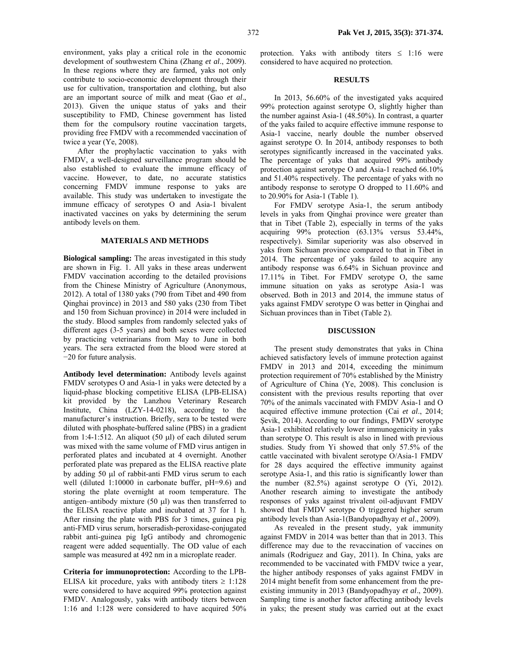environment, yaks play a critical role in the economic development of southwestern China (Zhang *et al*., 2009). In these regions where they are farmed, yaks not only contribute to socio-economic development through their use for cultivation, transportation and clothing, but also are an important source of milk and meat (Gao *et al*., 2013). Given the unique status of yaks and their susceptibility to FMD, Chinese government has listed them for the compulsory routine vaccination targets, providing free FMDV with a recommended vaccination of twice a year (Ye, 2008).

After the prophylactic vaccination to yaks with FMDV, a well-designed surveillance program should be also established to evaluate the immune efficacy of vaccine. However, to date, no accurate statistics concerning FMDV immune response to yaks are available. This study was undertaken to investigate the immune efficacy of serotypes O and Asia-1 bivalent inactivated vaccines on yaks by determining the serum antibody levels on them.

### **MATERIALS AND METHODS**

**Biological sampling:** The areas investigated in this study are shown in Fig. 1. All yaks in these areas underwent FMDV vaccination according to the detailed provisions from the Chinese Ministry of Agriculture (Anonymous, 2012). A total of 1380 yaks (790 from Tibet and 490 from Qinghai province) in 2013 and 580 yaks (230 from Tibet and 150 from Sichuan province) in 2014 were included in the study. Blood samples from randomly selected yaks of different ages (3-5 years) and both sexes were collected by practicing veterinarians from May to June in both years. The sera extracted from the blood were stored at −20 for future analysis.

**Antibody level determination:** Antibody levels against FMDV serotypes O and Asia-1 in yaks were detected by a liquid-phase blocking competitive ELISA (LPB-ELISA) kit provided by the Lanzhou Veterinary Research Institute, China (LZY-14-0218), according to the manufacturer's instruction. Briefly, sera to be tested were diluted with phosphate-buffered saline (PBS) in a gradient from 1:4-1:512. An aliquot (50  $\mu$ l) of each diluted serum was mixed with the same volume of FMD virus antigen in perforated plates and incubated at 4 overnight. Another perforated plate was prepared as the ELISA reactive plate by adding 50 µl of rabbit-anti FMD virus serum to each well (diluted 1:10000 in carbonate buffer, pH=9.6) and storing the plate overnight at room temperature. The antigen–antibody mixture (50 µl) was then transferred to the ELISA reactive plate and incubated at 37 for 1 h. After rinsing the plate with PBS for 3 times, guinea pig anti-FMD virus serum, horseradish-peroxidase-conjugated rabbit anti-guinea pig IgG antibody and chromogenic reagent were added sequentially. The OD value of each sample was measured at 492 nm in a microplate reader.

**Criteria for immunoprotection:** According to the LPB-ELISA kit procedure, yaks with antibody titers  $\geq 1:128$ were considered to have acquired 99% protection against FMDV. Analogously, yaks with antibody titers between 1:16 and 1:128 were considered to have acquired 50%

protection. Yaks with antibody titers  $\leq 1:16$  were considered to have acquired no protection.

#### **RESULTS**

In 2013, 56.60% of the investigated yaks acquired 99% protection against serotype O, slightly higher than the number against Asia-1 (48.50%). In contrast, a quarter of the yaks failed to acquire effective immune response to Asia-1 vaccine, nearly double the number observed against serotype O. In 2014, antibody responses to both serotypes significantly increased in the vaccinated yaks. The percentage of yaks that acquired 99% antibody protection against serotype O and Asia-1 reached 66.10% and 51.40% respectively. The percentage of yaks with no antibody response to serotype O dropped to 11.60% and to 20.90% for Asia-1 (Table 1).

For FMDV serotype Asia-1, the serum antibody levels in yaks from Qinghai province were greater than that in Tibet (Table 2), especially in terms of the yaks acquiring 99% protection (63.13% versus 53.44%, respectively). Similar superiority was also observed in yaks from Sichuan province compared to that in Tibet in 2014. The percentage of yaks failed to acquire any antibody response was 6.64% in Sichuan province and 17.11% in Tibet. For FMDV serotype O, the same immune situation on yaks as serotype Asia-1 was observed. Both in 2013 and 2014, the immune status of yaks against FMDV serotype O was better in Qinghai and Sichuan provinces than in Tibet (Table 2).

#### **DISCUSSION**

The present study demonstrates that yaks in China achieved satisfactory levels of immune protection against FMDV in 2013 and 2014, exceeding the minimum protection requirement of 70% established by the Ministry of Agriculture of China (Ye, 2008). This conclusion is consistent with the previous results reporting that over 70% of the animals vaccinated with FMDV Asia-1 and O acquired effective immune protection (Cai *et al*., 2014; Sevik, 2014). According to our findings, FMDV serotype Asia-1 exhibited relatively lower immunogenicity in yaks than serotype O. This result is also in lined with previous studies. Study from Yi showed that only 57.5% of the cattle vaccinated with bivalent serotype O/Asia-1 FMDV for 28 days acquired the effective immunity against serotype Asia-1, and this ratio is significantly lower than the number (82.5%) against serotype O (Yi, 2012). Another research aiming to investigate the antibody responses of yaks against trivalent oil-adjuvant FMDV showed that FMDV serotype O triggered higher serum antibody levels than Asia-1(Bandyopadhyay *et al*., 2009).

As revealed in the present study, yak immunity against FMDV in 2014 was better than that in 2013. This difference may due to the revaccination of vaccines on animals (Rodriguez and Gay, 2011). In China, yaks are recommended to be vaccinated with FMDV twice a year, the higher antibody responses of yaks against FMDV in 2014 might benefit from some enhancement from the preexisting immunity in 2013 (Bandyopadhyay *et al*., 2009). Sampling time is another factor affecting antibody levels in yaks; the present study was carried out at the exact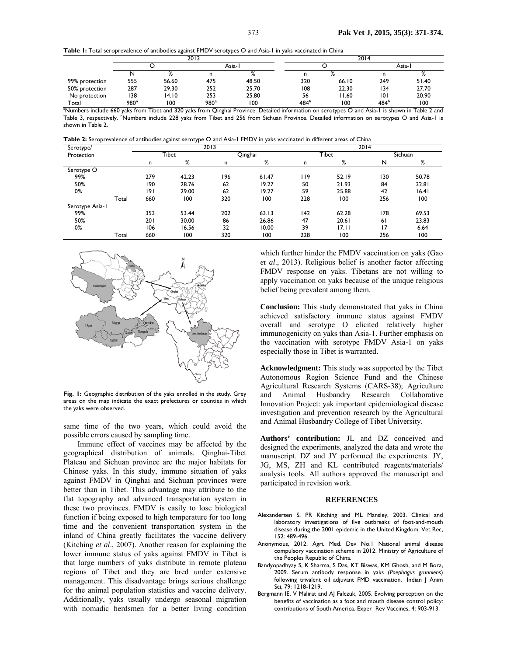| Table 1: Total seroprevalence of antibodies against FMDV serotypes O and Asia-1 in yaks vaccinated in China |
|-------------------------------------------------------------------------------------------------------------|
|-------------------------------------------------------------------------------------------------------------|

|                                                                                                                                                             | 2013 |              |                  |       | 2014 |       |                  |       |
|-------------------------------------------------------------------------------------------------------------------------------------------------------------|------|--------------|------------------|-------|------|-------|------------------|-------|
|                                                                                                                                                             |      |              | Asia-l           |       |      |       | Asia-l           |       |
|                                                                                                                                                             |      | $\mathsf{o}$ |                  |       |      |       |                  |       |
| 99% protection                                                                                                                                              | 555  | 56.60        | 475              | 48.50 | 320  | 66.10 | 249              | 51.40 |
| 50% protection                                                                                                                                              | 287  | 29.30        | 252              | 25.70 | 108  | 22.30 | 134              | 27.70 |
| No protection                                                                                                                                               | 138  | 14.10        | 253              | 25.80 | 56   | 1.60  | 0                | 20.90 |
| Total                                                                                                                                                       | 980ª | 100          | 980 <sup>a</sup> | 100   | 484b | 100   | 484 <sup>b</sup> | 100   |
| <sup>a</sup> Numbers include 660 yaks from Tibet and 320 yaks from Qinghai Province. Detailed information on serotypes O and Asia-1 is shown in Table 2 and |      |              |                  |       |      |       |                  |       |

Table 3, respectively. <sup>b</sup>Numbers include 228 yaks from Tibet and 256 from Sichuan Province. Detailed information on serotypes O and Asia-1 is shown in Table 2.

| Table 2: Seroprevalence of antibodies against serotype O and Asia-1 FMDV in yaks vaccinated in different areas of China |  |
|-------------------------------------------------------------------------------------------------------------------------|--|
|-------------------------------------------------------------------------------------------------------------------------|--|

| Serotype/       |       | 2013  |       |         |       | 2014  |       |         |       |
|-----------------|-------|-------|-------|---------|-------|-------|-------|---------|-------|
| Protection      |       | Tibet |       | Qinghai |       | Tibet |       | Sichuan |       |
|                 |       | n     | %     | n       | %     | n     | %     | N       | %     |
| Serotype O      |       |       |       |         |       |       |       |         |       |
| 99%             |       | 279   | 42.23 | 196     | 61.47 | 119   | 52.19 | 130     | 50.78 |
| 50%             |       | 190   | 28.76 | 62      | 19.27 | 50    | 21.93 | 84      | 32.81 |
| 0%              |       | 9     | 29.00 | 62      | 19.27 | 59    | 25.88 | 42      | 16.41 |
|                 | Total | 660   | 100   | 320     | 100   | 228   | 100   | 256     | 100   |
| Serotype Asia-1 |       |       |       |         |       |       |       |         |       |
| 99%             |       | 353   | 53.44 | 202     | 63.13 | 142   | 62.28 | 178     | 69.53 |
| 50%             |       | 201   | 30.00 | 86      | 26.86 | 47    | 20.61 | 61      | 23.83 |
| 0%              |       | 106   | 16.56 | 32      | 10.00 | 39    | 17.11 | 17      | 6.64  |
|                 | Total | 660   | 100   | 320     | 100   | 228   | 100   | 256     | 100   |



**Fig. 1:** Geographic distribution of the yaks enrolled in the study. Grey areas on the map indicate the exact prefectures or counties in which the yaks were observed.

same time of the two years, which could avoid the possible errors caused by sampling time.

Immune effect of vaccines may be affected by the geographical distribution of animals. Qinghai-Tibet Plateau and Sichuan province are the major habitats for Chinese yaks. In this study, immune situation of yaks against FMDV in Qinghai and Sichuan provinces were better than in Tibet. This advantage may attribute to the flat topography and advanced transportation system in these two provinces. FMDV is easily to lose biological function if being exposed to high temperature for too long time and the convenient transportation system in the inland of China greatly facilitates the vaccine delivery (Kitching *et al*., 2007). Another reason for explaining the lower immune status of yaks against FMDV in Tibet is that large numbers of yaks distribute in remote plateau regions of Tibet and they are bred under extensive management. This disadvantage brings serious challenge for the animal population statistics and vaccine delivery. Additionally, yaks usually undergo seasonal migration with nomadic herdsmen for a better living condition

which further hinder the FMDV vaccination on yaks (Gao *et al*., 2013). Religious belief is another factor affecting FMDV response on yaks. Tibetans are not willing to apply vaccination on yaks because of the unique religious belief being prevalent among them.

**Conclusion:** This study demonstrated that yaks in China achieved satisfactory immune status against FMDV overall and serotype O elicited relatively higher immunogenicity on yaks than Asia-1. Further emphasis on the vaccination with serotype FMDV Asia-1 on yaks especially those in Tibet is warranted.

**Acknowledgment:** This study was supported by the Tibet Autonomous Region Science Fund and the Chinese Agricultural Research Systems (CARS-38); Agriculture and Animal Husbandry Research Collaborative Innovation Project: yak important epidemiological disease investigation and prevention research by the Agricultural and Animal Husbandry College of Tibet University.

**Authors' contribution:** JL and DZ conceived and designed the experiments, analyzed the data and wrote the manuscript. DZ and JY performed the experiments. JY, JG, MS, ZH and KL contributed reagents/materials/ analysis tools. All authors approved the manuscript and participated in revision work.

#### **REFERENCES**

- Alexandersen S, PR Kitching and ML Mansley, 2003. Clinical and laboratory investigations of five outbreaks of foot-and-mouth disease during the 2001 epidemic in the United Kingdom. Vet Rec, 152: 489-496.
- Anonymous, 2012. Agri. Med. Dev No.1 National animal disease compulsory vaccination scheme in 2012. Ministry of Agriculture of the Peoples Republic of China.
- Bandyopadhyay S, K Sharma, S Das, KT Biswas, KM Ghosh, and M Bora, 2009. Serum antibody response in yaks (*Poephagus grunniens*) following trivalent oil adjuvant FMD vaccination. Indian J Anim Sci, 79: 1218-1219.
- Bergmann IE, V Malirat and AJ Falczuk, 2005. Evolving perception on the benefits of vaccination as a foot and mouth disease control policy: contributions of South America. Exper Rev Vaccines, 4: 903-913.